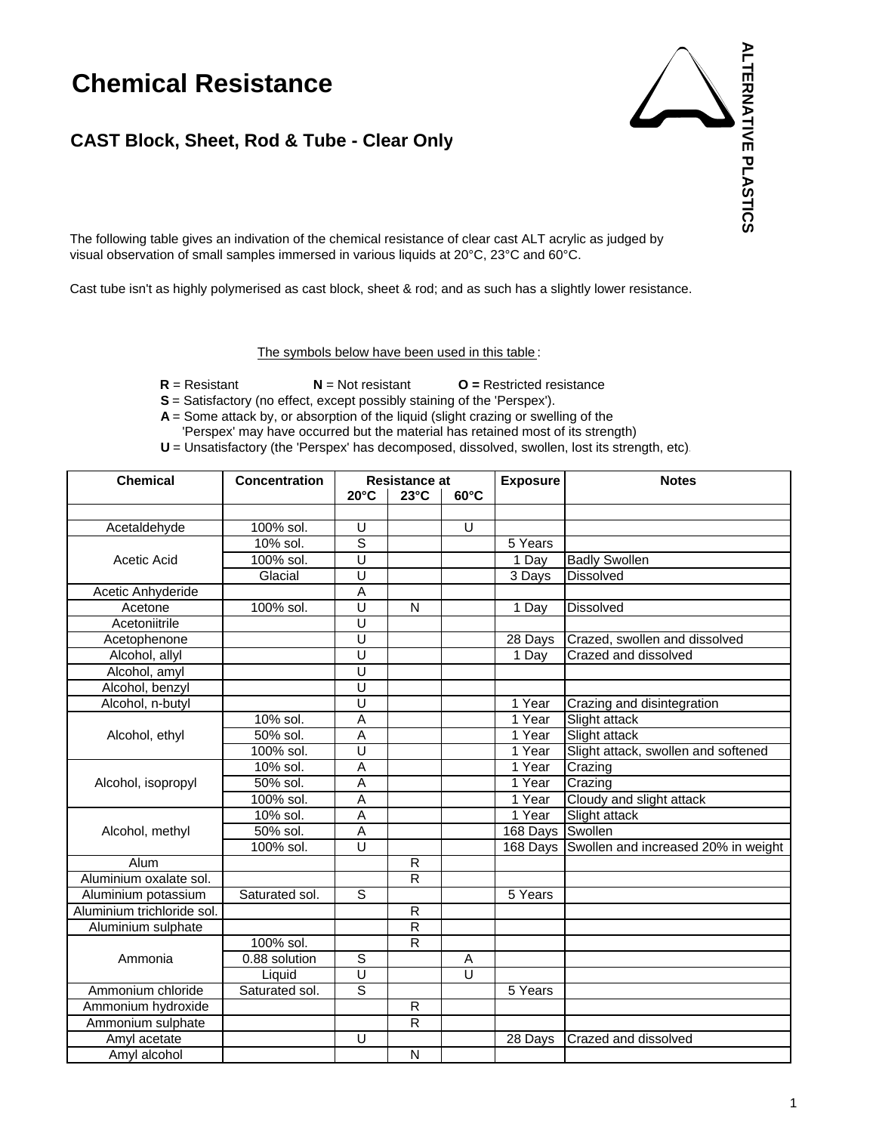## **Chemical Resistance**

## **CAST Block, Sheet, Rod & Tube - Clear Only**

visual observation of small samples immersed in various liquids at 20°C, 23°C and 60°C. The following table gives an indivation of the chemical resistance of clear cast ALT acrylic as judged by

Cast tube isn't as highly polymerised as cast block, sheet & rod; and as such has a slightly lower resistance.

The symbols below have been used in this table:

**R** = Resistant **N** = Not resistant **O =** Restricted resistance

**S** = Satisfactory (no effect, except possibly staining of the 'Perspex').

 **A** = Some attack by, or absorption of the liquid (slight crazing or swelling of the

'Perspex' may have occurred but the material has retained most of its strength)

**U** = Unsatisfactory (the 'Perspex' has decomposed, dissolved, swollen, lost its strength, etc).

| <b>Chemical</b>            | <b>Concentration</b> | <b>Resistance at</b>    |                         | <b>Exposure</b> | <b>Notes</b> |                                              |
|----------------------------|----------------------|-------------------------|-------------------------|-----------------|--------------|----------------------------------------------|
|                            |                      | $20^{\circ}$ C          | $23^{\circ}$ C          | $60^{\circ}$ C  |              |                                              |
|                            |                      |                         |                         |                 |              |                                              |
| Acetaldehyde               | 100% sol.            | U                       |                         | Ū               |              |                                              |
|                            | 10% sol.             | ड                       |                         |                 | 5 Years      |                                              |
| Acetic Acid                | 100% sol.            | U                       |                         |                 | 1 Day        | <b>Badly Swollen</b>                         |
|                            | Glacial              | $\overline{\mathsf{U}}$ |                         |                 | 3 Days       | <b>Dissolved</b>                             |
| Acetic Anhyderide          |                      | A                       |                         |                 |              |                                              |
| Acetone                    | 100% sol.            | U                       | N                       |                 | 1 Day        | <b>Dissolved</b>                             |
| Acetoniitrile              |                      | $\overline{\mathtt{U}}$ |                         |                 |              |                                              |
| Acetophenone               |                      | Ū                       |                         |                 | 28 Days      | Crazed, swollen and dissolved                |
| Alcohol, allyl             |                      | $\overline{U}$          |                         |                 | 1 Day        | Crazed and dissolved                         |
| Alcohol, amyl              |                      | Ū                       |                         |                 |              |                                              |
| Alcohol, benzyl            |                      | $\overline{U}$          |                         |                 |              |                                              |
| Alcohol, n-butyl           |                      | U                       |                         |                 | 1 Year       | Crazing and disintegration                   |
|                            | 10% sol.             | $\overline{A}$          |                         |                 | 1 Year       | Slight attack                                |
| Alcohol, ethyl             | 50% sol.             | A                       |                         |                 | 1 Year       | Slight attack                                |
|                            | 100% sol.            | Ū                       |                         |                 | 1 Year       | Slight attack, swollen and softened          |
|                            | 10% sol.             | Α                       |                         |                 | 1 Year       | Crazing                                      |
| Alcohol, isopropyl         | 50% sol.             | Ā                       |                         |                 | 1 Year       | Crazing                                      |
|                            | 100% sol.            | A                       |                         |                 | 1 Year       | Cloudy and slight attack                     |
|                            | 10% sol.             | Α                       |                         |                 | 1 Year       | Slight attack                                |
| Alcohol, methyl            | 50% sol.             | A                       |                         |                 | 168 Days     | Swollen                                      |
|                            | 100% sol.            | U                       |                         |                 |              | 168 Days Swollen and increased 20% in weight |
| Alum                       |                      |                         | $\overline{R}$          |                 |              |                                              |
| Aluminium oxalate sol.     |                      |                         | $\overline{R}$          |                 |              |                                              |
| Aluminium potassium        | Saturated sol.       | $\overline{s}$          |                         |                 | 5 Years      |                                              |
| Aluminium trichloride sol. |                      |                         | $\overline{R}$          |                 |              |                                              |
| Aluminium sulphate         |                      |                         | $\overline{R}$          |                 |              |                                              |
|                            | 100% sol.            |                         | $\overline{R}$          |                 |              |                                              |
| Ammonia                    | 0.88 solution        | S                       |                         | A               |              |                                              |
|                            | Liquid               | Ù                       |                         | U               |              |                                              |
| Ammonium chloride          | Saturated sol.       | ड                       |                         |                 | 5 Years      |                                              |
| Ammonium hydroxide         |                      |                         | $\overline{\mathsf{R}}$ |                 |              |                                              |
| Ammonium sulphate          |                      |                         | $\overline{\mathsf{R}}$ |                 |              |                                              |
| Amyl acetate               |                      | U                       |                         |                 | 28 Days      | Crazed and dissolved                         |
| Amyl alcohol               |                      |                         | N                       |                 |              |                                              |

**ALTERNATIVE PLASTICS**

**ALTERNATIVE PLASTICS**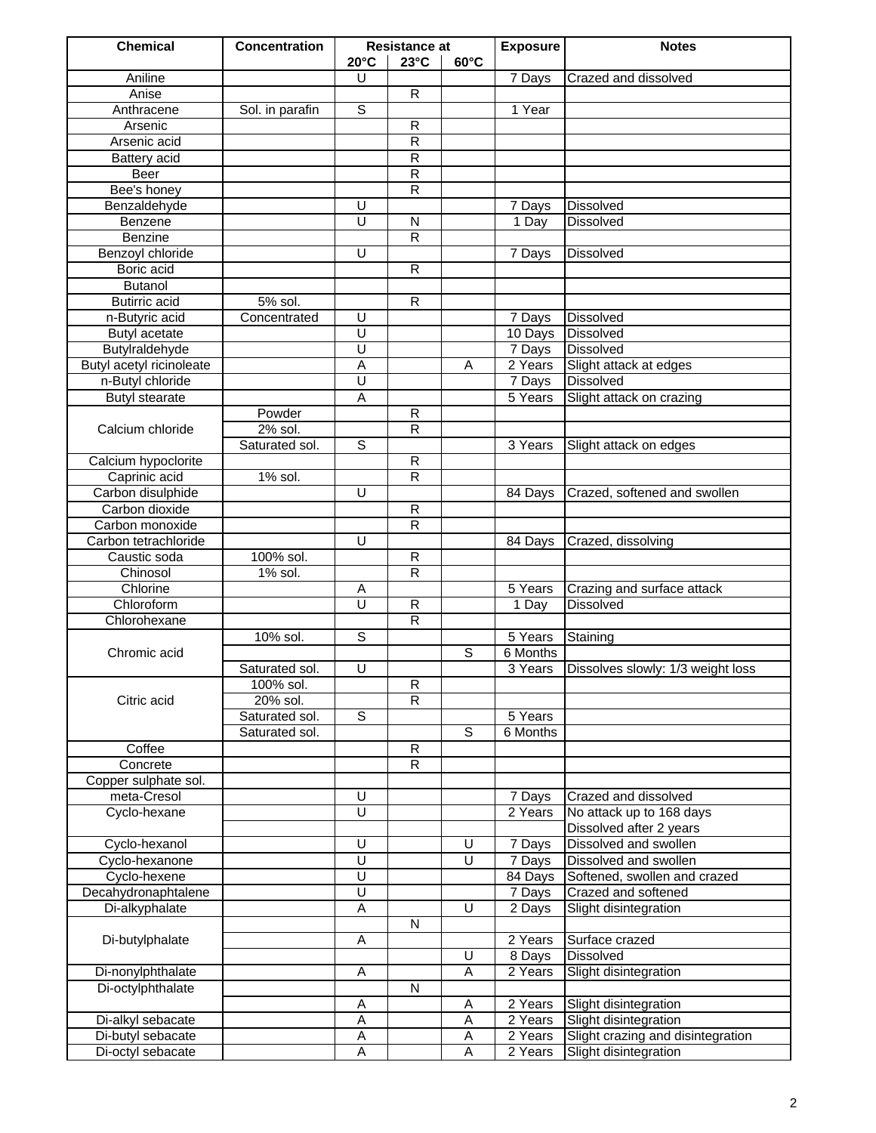| <b>Chemical</b>             | Concentration   | <b>Resistance at</b>         |                         | <b>Exposure</b>              | <b>Notes</b> |                                                     |
|-----------------------------|-----------------|------------------------------|-------------------------|------------------------------|--------------|-----------------------------------------------------|
|                             |                 | $20^{\circ}$ C               | $23^{\circ}$ C          | $60^{\circ}$ C               |              |                                                     |
| Aniline                     |                 | U                            |                         |                              | 7 Days       | Crazed and dissolved                                |
| Anise                       |                 |                              | $\overline{R}$          |                              |              |                                                     |
| Anthracene                  | Sol. in parafin | $\overline{s}$               |                         |                              | 1 Year       |                                                     |
| Arsenic                     |                 |                              | $\overline{R}$          |                              |              |                                                     |
| Arsenic acid                |                 |                              | R                       |                              |              |                                                     |
| Battery acid                |                 |                              | R                       |                              |              |                                                     |
| Beer                        |                 |                              | $\overline{R}$          |                              |              |                                                     |
| Bee's honey                 |                 |                              | $\overline{\mathsf{R}}$ |                              |              |                                                     |
| Benzaldehyde                |                 | U<br>U                       | $\overline{N}$          |                              | 7 Days       | <b>Dissolved</b>                                    |
| Benzene                     |                 |                              | $\overline{R}$          |                              | 1 Day        | <b>Dissolved</b>                                    |
| Benzine<br>Benzoyl chloride |                 | U                            |                         |                              |              | Dissolved                                           |
| Boric acid                  |                 |                              | $\overline{R}$          |                              | 7 Days       |                                                     |
| <b>Butanol</b>              |                 |                              |                         |                              |              |                                                     |
| <b>Butirric</b> acid        | 5% sol.         |                              | R                       |                              |              |                                                     |
| n-Butyric acid              | Concentrated    | $\overline{\mathtt{U}}$      |                         |                              | 7 Days       | <b>Dissolved</b>                                    |
| Butyl acetate               |                 | $\overline{\mathtt{U}}$      |                         |                              | 10 Days      | <b>Dissolved</b>                                    |
| Butylraldehyde              |                 | $\overline{\mathsf{U}}$      |                         |                              | 7 Days       | <b>Dissolved</b>                                    |
| Butyl acetyl ricinoleate    |                 | Α                            |                         | Α                            | 2 Years      | Slight attack at edges                              |
| n-Butyl chloride            |                 | U                            |                         |                              | 7 Days       | <b>Dissolved</b>                                    |
| <b>Butyl stearate</b>       |                 | $\overline{A}$               |                         |                              | 5 Years      | Slight attack on crazing                            |
|                             | Powder          |                              | $\mathsf{R}$            |                              |              |                                                     |
| Calcium chloride            | 2% sol.         |                              | $\overline{\mathsf{R}}$ |                              |              |                                                     |
|                             | Saturated sol.  | $\overline{s}$               |                         |                              | 3 Years      | Slight attack on edges                              |
| Calcium hypoclorite         |                 |                              | $\overline{R}$          |                              |              |                                                     |
| Caprinic acid               | 1% sol.         |                              | $\overline{\mathsf{R}}$ |                              |              |                                                     |
| Carbon disulphide           |                 | U                            |                         |                              | 84 Days      | Crazed, softened and swollen                        |
| Carbon dioxide              |                 |                              | $\overline{R}$          |                              |              |                                                     |
| Carbon monoxide             |                 |                              | $\mathsf{R}$            |                              |              |                                                     |
| Carbon tetrachloride        |                 | U                            |                         |                              | 84 Days      | Crazed, dissolving                                  |
| Caustic soda                | 100% sol.       |                              | $\overline{R}$          |                              |              |                                                     |
| Chinosol                    | 1% sol.         |                              | $\overline{R}$          |                              |              |                                                     |
| Chlorine                    |                 | Α                            |                         |                              | 5 Years      | Crazing and surface attack                          |
| Chloroform                  |                 | U                            | $\overline{R}$          |                              | 1 Day        | <b>Dissolved</b>                                    |
| Chlorohexane                |                 |                              | $\overline{R}$          |                              |              |                                                     |
|                             | 10% sol.        | S                            |                         |                              | 5 Years      | Staining                                            |
| Chromic acid                |                 |                              |                         | S                            | 6 Months     |                                                     |
|                             | Saturated sol.  | Ū                            |                         |                              | 3 Years      | Dissolves slowly: 1/3 weight loss                   |
|                             | 100% sol.       |                              | R                       |                              |              |                                                     |
| Citric acid                 | 20% sol.        |                              | $\overline{R}$          |                              |              |                                                     |
|                             | Saturated sol.  | S                            |                         |                              | 5 Years      |                                                     |
|                             | Saturated sol.  |                              |                         | S                            | 6 Months     |                                                     |
| Coffee                      |                 |                              | R                       |                              |              |                                                     |
| Concrete                    |                 |                              | R                       |                              |              |                                                     |
| Copper sulphate sol.        |                 |                              |                         |                              |              |                                                     |
| meta-Cresol                 |                 | U                            |                         |                              | 7 Days       | Crazed and dissolved                                |
| Cyclo-hexane                |                 | U                            |                         |                              | 2 Years      | No attack up to 168 days                            |
|                             |                 |                              |                         |                              |              | Dissolved after 2 years                             |
| Cyclo-hexanol               |                 | U<br>$\overline{\mathtt{U}}$ |                         | U<br>$\overline{\mathsf{U}}$ | 7 Days       | Dissolved and swollen                               |
| Cyclo-hexanone              |                 | $\overline{\mathtt{U}}$      |                         |                              | 7 Days       | Dissolved and swollen                               |
| Cyclo-hexene                |                 | Ū                            |                         |                              | 84 Days      | Softened, swollen and crazed<br>Crazed and softened |
| Decahydronaphtalene         |                 | Ā                            |                         | U                            | 7 Days       |                                                     |
| Di-alkyphalate              |                 |                              | N                       |                              | 2 Days       | Slight disintegration                               |
| Di-butylphalate             |                 | Α                            |                         |                              | 2 Years      | Surface crazed                                      |
|                             |                 |                              |                         | U                            | 8 Days       | Dissolved                                           |
| Di-nonylphthalate           |                 | Α                            |                         | A                            | 2 Years      | Slight disintegration                               |
| Di-octylphthalate           |                 |                              | N                       |                              |              |                                                     |
|                             |                 | Α                            |                         | A                            | 2 Years      | Slight disintegration                               |
| Di-alkyl sebacate           |                 | Α                            |                         | A                            | 2 Years      | Slight disintegration                               |
| Di-butyl sebacate           |                 | Α                            |                         | A                            | 2 Years      | Slight crazing and disintegration                   |
| Di-octyl sebacate           |                 | А                            |                         | Α                            | 2 Years      | Slight disintegration                               |
|                             |                 |                              |                         |                              |              |                                                     |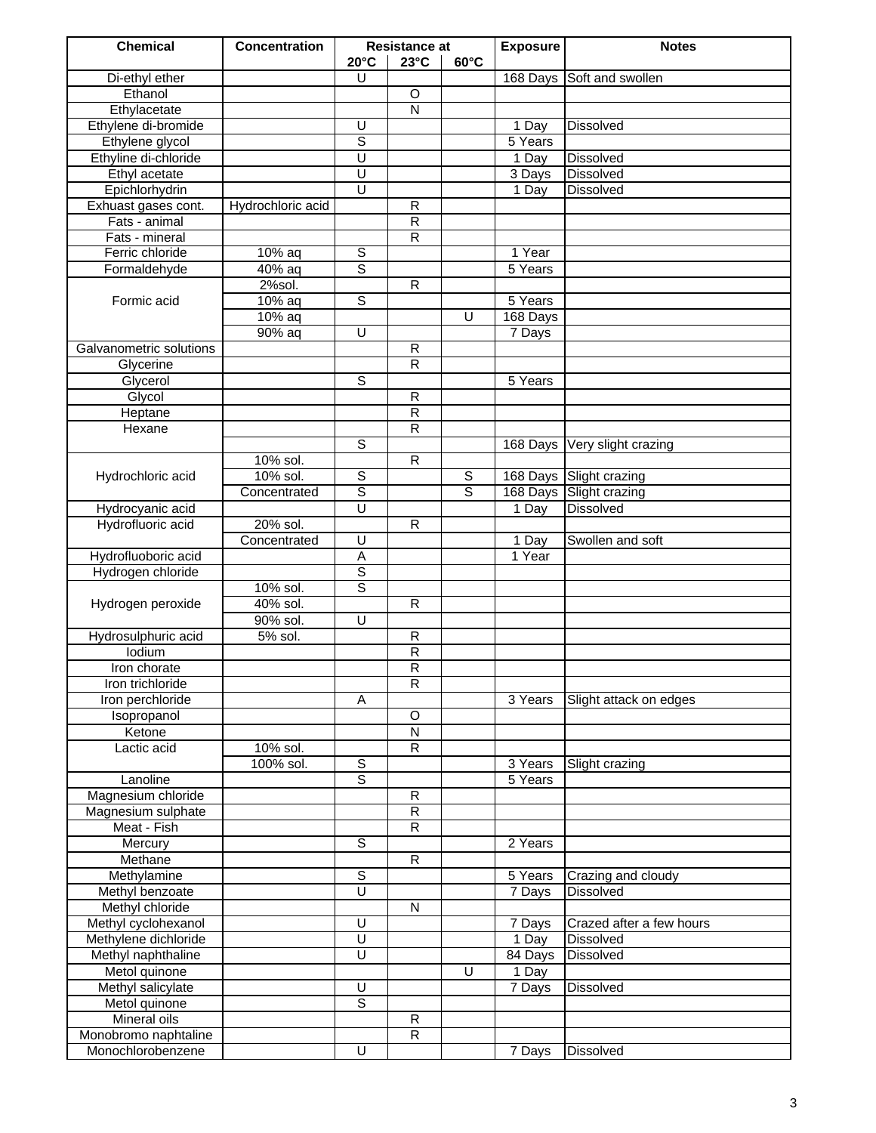| <b>Chemical</b>         | <b>Concentration</b> | <b>Resistance at</b>    |                         | <b>Exposure</b> | <b>Notes</b> |                              |
|-------------------------|----------------------|-------------------------|-------------------------|-----------------|--------------|------------------------------|
|                         |                      | $20^{\circ}$ C          | $23^{\circ}$ C          | $60^{\circ}$ C  |              |                              |
| Di-ethyl ether          |                      | U                       |                         |                 |              | 168 Days Soft and swollen    |
| Ethanol                 |                      |                         | $\circ$                 |                 |              |                              |
| Ethylacetate            |                      |                         | $\overline{\mathsf{N}}$ |                 |              |                              |
| Ethylene di-bromide     |                      | $\overline{\mathsf{U}}$ |                         |                 | 1 Day        | <b>Dissolved</b>             |
| Ethylene glycol         |                      | ड                       |                         |                 | 5 Years      |                              |
| Ethyline di-chloride    |                      | U                       |                         |                 | 1 Day        | Dissolved                    |
| Ethyl acetate           |                      | $\overline{\mathtt{U}}$ |                         |                 | 3 Days       | <b>Dissolved</b>             |
| Epichlorhydrin          |                      | $\overline{\mathsf{U}}$ |                         |                 | 1 Day        | <b>Dissolved</b>             |
| Exhuast gases cont.     | Hydrochloric acid    |                         | $\overline{R}$          |                 |              |                              |
| Fats - animal           |                      |                         | $\overline{R}$          |                 |              |                              |
| Fats - mineral          |                      |                         | $\overline{R}$          |                 |              |                              |
| Ferric chloride         | 10% aq               | ऽ                       |                         |                 | 1 Year       |                              |
| Formaldehyde            | 40% aq               | $\overline{s}$          |                         |                 | 5 Years      |                              |
|                         | 2%sol.               |                         | $\overline{R}$          |                 |              |                              |
| Formic acid             | 10% aq               | ड                       |                         |                 | 5 Years      |                              |
|                         | $10%$ aq             |                         |                         | U               | 168 Days     |                              |
|                         | 90% aq               | $\overline{U}$          |                         |                 | 7 Days       |                              |
| Galvanometric solutions |                      |                         | $\mathsf{R}$            |                 |              |                              |
| Glycerine               |                      |                         | R                       |                 |              |                              |
| Glycerol                |                      | S                       |                         |                 | 5 Years      |                              |
| Glycol                  |                      |                         | $\mathsf{R}$            |                 |              |                              |
| Heptane                 |                      |                         | $\overline{R}$          |                 |              |                              |
| Hexane                  |                      |                         | $\overline{\mathsf{R}}$ |                 |              |                              |
|                         |                      | $\overline{s}$          |                         |                 |              | 168 Days Very slight crazing |
|                         | 10% sol.             |                         | $\overline{R}$          |                 |              |                              |
| Hydrochloric acid       | 10% sol.             | $\mathsf S$             |                         | $\mathbb S$     |              | 168 Days Slight crazing      |
|                         | Concentrated         | ड                       |                         | ड               |              | 168 Days Slight crazing      |
| Hydrocyanic acid        |                      | $\overline{\mathsf{U}}$ |                         |                 | 1 Day        | <b>Dissolved</b>             |
| Hydrofluoric acid       | 20% sol.             |                         | $\overline{R}$          |                 |              |                              |
|                         | Concentrated         | $\overline{U}$          |                         |                 | 1 Day        | Swollen and soft             |
| Hydrofluoboric acid     |                      | $\overline{A}$          |                         |                 | 1 Year       |                              |
| Hydrogen chloride       |                      | $\overline{s}$          |                         |                 |              |                              |
|                         | 10% sol.             | $\overline{s}$          |                         |                 |              |                              |
| Hydrogen peroxide       | 40% sol.             |                         | R                       |                 |              |                              |
|                         | 90% sol.             | $\overline{U}$          |                         |                 |              |                              |
| Hydrosulphuric acid     | 5% sol.              |                         | $\overline{R}$          |                 |              |                              |
| lodium                  |                      |                         | $\overline{\mathsf{R}}$ |                 |              |                              |
| Iron chorate            |                      |                         | $\overline{\mathsf{R}}$ |                 |              |                              |
| Iron trichloride        |                      |                         | R                       |                 |              |                              |
| Iron perchloride        |                      | A                       |                         |                 | 3 Years      | Slight attack on edges       |
| Isopropanol             |                      |                         | $\overline{O}$          |                 |              |                              |
| Ketone                  |                      |                         | ${\sf N}$               |                 |              |                              |
| Lactic acid             | 10% sol.             |                         | R                       |                 |              |                              |
|                         | 100% sol.            | S                       |                         |                 | 3 Years      | Slight crazing               |
| Lanoline                |                      | ड                       |                         |                 | 5 Years      |                              |
| Magnesium chloride      |                      |                         | $\overline{R}$          |                 |              |                              |
|                         |                      |                         | R                       |                 |              |                              |
| Magnesium sulphate      |                      |                         |                         |                 |              |                              |
| Meat - Fish             |                      | $\overline{s}$          | $\overline{R}$          |                 | 2 Years      |                              |
| Mercury                 |                      |                         |                         |                 |              |                              |
| Methane                 |                      |                         | R                       |                 |              |                              |
| Methylamine             |                      | $\overline{s}$          |                         |                 | 5 Years      | Crazing and cloudy           |
| Methyl benzoate         |                      | Ū                       |                         |                 | 7 Days       | Dissolved                    |
| Methyl chloride         |                      |                         | $\overline{\mathsf{N}}$ |                 |              |                              |
| Methyl cyclohexanol     |                      | $\overline{\mathsf{U}}$ |                         |                 | 7 Days       | Crazed after a few hours     |
| Methylene dichloride    |                      | $\overline{U}$          |                         |                 | 1 Day        | Dissolved                    |
| Methyl naphthaline      |                      | $\overline{\mathtt{U}}$ |                         |                 | 84 Days      | <b>Dissolved</b>             |
| Metol quinone           |                      |                         |                         | U               | 1 Day        |                              |
| Methyl salicylate       |                      | U                       |                         |                 | 7 Days       | Dissolved                    |
| Metol quinone           |                      | $\overline{s}$          |                         |                 |              |                              |
| Mineral oils            |                      |                         | $\overline{\mathsf{R}}$ |                 |              |                              |
| Monobromo naphtaline    |                      |                         | $\overline{R}$          |                 |              |                              |
| Monochlorobenzene       |                      | Ū                       |                         |                 | 7 Days       | Dissolved                    |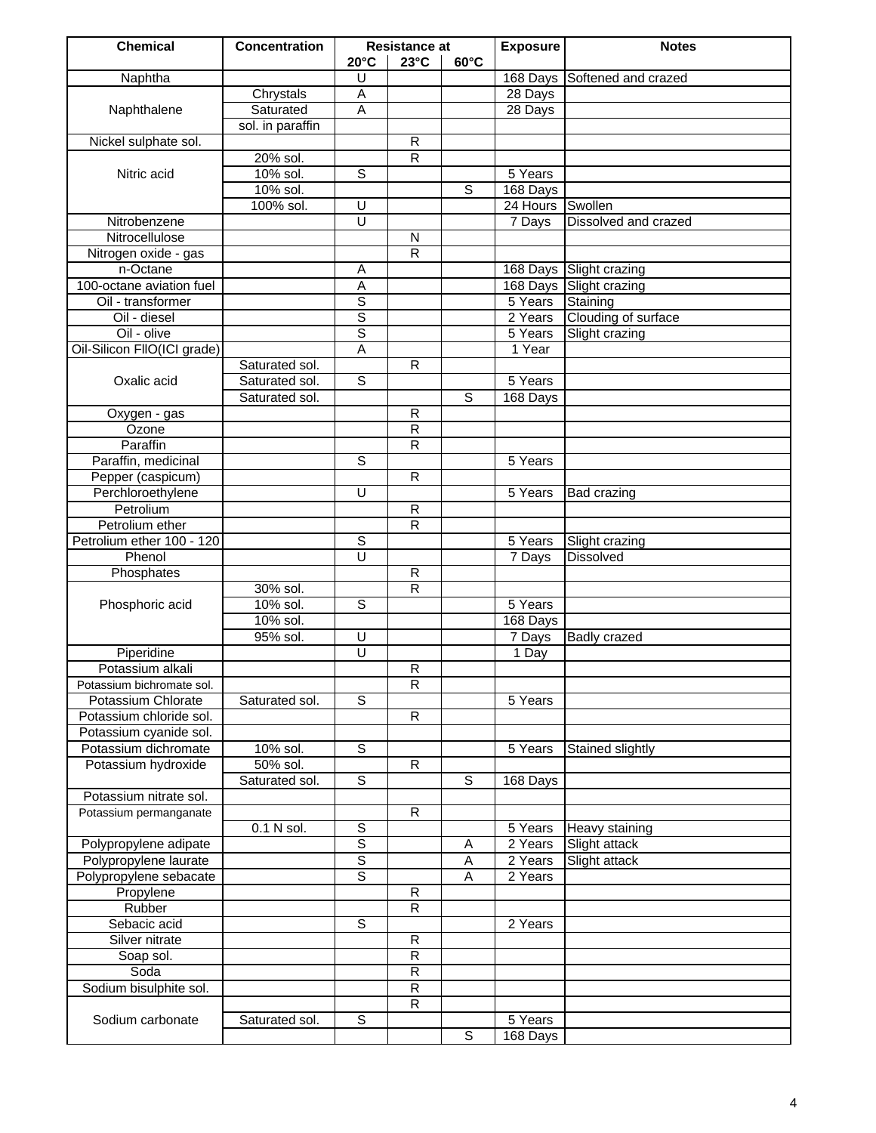| <b>Chemical</b>                   | <b>Concentration</b> | <b>Resistance at</b>    |                         | <b>Exposure</b> | <b>Notes</b>       |                                       |
|-----------------------------------|----------------------|-------------------------|-------------------------|-----------------|--------------------|---------------------------------------|
|                                   |                      | $20^{\circ}$ C          | $23^{\circ}$ C          | $60^{\circ}$ C  |                    |                                       |
| Naphtha                           |                      | U                       |                         |                 |                    | 168 Days Softened and crazed          |
|                                   | Chrystals            | Α                       |                         |                 | 28 Days            |                                       |
| Naphthalene                       | Saturated            | Ā                       |                         |                 | 28 Days            |                                       |
|                                   | sol. in paraffin     |                         |                         |                 |                    |                                       |
| Nickel sulphate sol.              |                      |                         | $\overline{R}$          |                 |                    |                                       |
|                                   | 20% sol.             |                         | R                       |                 |                    |                                       |
| Nitric acid                       | 10% sol.             | $\overline{s}$          |                         |                 | 5 Years            |                                       |
|                                   | 10% sol.             |                         |                         | S               | 168 Days           |                                       |
|                                   | 100% sol.            | U                       |                         |                 | 24 Hours Swollen   |                                       |
| Nitrobenzene                      |                      | $\overline{\mathsf{U}}$ |                         |                 | 7 Days             | Dissolved and crazed                  |
| Nitrocellulose                    |                      |                         | $\overline{\mathsf{N}}$ |                 |                    |                                       |
| Nitrogen oxide - gas              |                      |                         | $\overline{\mathsf{R}}$ |                 |                    |                                       |
| n-Octane                          |                      | Α                       |                         |                 |                    | 168 Days Slight crazing               |
| 100-octane aviation fuel          |                      | Α                       |                         |                 |                    | 168 Days Slight crazing               |
| Oil - transformer<br>Oil - diesel |                      | $\overline{s}$<br>ड     |                         |                 | 5 Years            | Staining                              |
| Oil - olive                       |                      | ड                       |                         |                 | 2 Years<br>5 Years | Clouding of surface<br>Slight crazing |
| Oil-Silicon FIIO(ICI grade)       |                      | $\overline{A}$          |                         |                 | 1 Year             |                                       |
|                                   | Saturated sol.       |                         | R                       |                 |                    |                                       |
| Oxalic acid                       | Saturated sol.       | $\overline{s}$          |                         |                 | 5 Years            |                                       |
|                                   | Saturated sol.       |                         |                         | S               | 168 Days           |                                       |
| Oxygen - gas                      |                      |                         | R                       |                 |                    |                                       |
| Ozone                             |                      |                         | $\overline{\mathsf{R}}$ |                 |                    |                                       |
| Paraffin                          |                      |                         | $\overline{\mathsf{R}}$ |                 |                    |                                       |
| Paraffin, medicinal               |                      | $\overline{s}$          |                         |                 | 5 Years            |                                       |
| Pepper (caspicum)                 |                      |                         | $\overline{\mathsf{R}}$ |                 |                    |                                       |
| Perchloroethylene                 |                      | U                       |                         |                 | 5 Years            | <b>Bad crazing</b>                    |
| Petrolium                         |                      |                         | $\overline{R}$          |                 |                    |                                       |
| Petrolium ether                   |                      |                         | $\overline{\mathsf{R}}$ |                 |                    |                                       |
| Petrolium ether 100 - 120         |                      | $\overline{s}$          |                         |                 | 5 Years            | Slight crazing                        |
| Phenol                            |                      | U                       |                         |                 | 7 Days             | Dissolved                             |
| Phosphates                        |                      |                         | $\overline{\mathsf{R}}$ |                 |                    |                                       |
|                                   | 30% sol.             |                         | $\overline{\mathsf{R}}$ |                 |                    |                                       |
| Phosphoric acid                   | 10% sol.             | S                       |                         |                 | 5 Years            |                                       |
|                                   | 10% sol.             |                         |                         |                 | 168 Days           |                                       |
|                                   | 95% sol.             | U                       |                         |                 | 7 Days             | <b>Badly crazed</b>                   |
| Piperidine                        |                      | $\overline{\mathtt{U}}$ |                         |                 | 1 Day              |                                       |
| Potassium alkali                  |                      |                         | $\overline{R}$          |                 |                    |                                       |
| Potassium bichromate sol.         |                      |                         | R                       |                 |                    |                                       |
| Potassium Chlorate                | Saturated sol.       | S                       |                         |                 | 5 Years            |                                       |
| Potassium chloride sol.           |                      |                         | $\overline{R}$          |                 |                    |                                       |
| Potassium cyanide sol.            |                      |                         |                         |                 |                    |                                       |
| Potassium dichromate              | 10% sol.             | S                       |                         |                 | 5 Years            | Stained slightly                      |
| Potassium hydroxide               | 50% sol.             |                         | R                       |                 |                    |                                       |
|                                   | Saturated sol.       | $\overline{s}$          |                         | S               | 168 Days           |                                       |
| Potassium nitrate sol.            |                      |                         |                         |                 |                    |                                       |
| Potassium permanganate            |                      |                         | $\overline{R}$          |                 |                    |                                       |
|                                   | 0.1 N sol.           | S                       |                         |                 | 5 Years            | Heavy staining                        |
| Polypropylene adipate             |                      | S                       |                         | Α               | 2 Years            | Slight attack                         |
| Polypropylene laurate             |                      | S                       |                         | Α               | 2 Years            | Slight attack                         |
| Polypropylene sebacate            |                      | $\overline{s}$          |                         | Α               | 2 Years            |                                       |
| Propylene                         |                      |                         | $\overline{R}$          |                 |                    |                                       |
| Rubber                            |                      |                         | $\overline{\mathsf{R}}$ |                 |                    |                                       |
| Sebacic acid                      |                      | $\overline{s}$          |                         |                 | 2 Years            |                                       |
| Silver nitrate                    |                      |                         | $\overline{R}$          |                 |                    |                                       |
| Soap sol.                         |                      |                         | R                       |                 |                    |                                       |
| Soda                              |                      |                         | $\overline{R}$          |                 |                    |                                       |
| Sodium bisulphite sol.            |                      |                         | $\overline{R}$          |                 |                    |                                       |
|                                   |                      |                         | R                       |                 |                    |                                       |
| Sodium carbonate                  | Saturated sol.       | S                       |                         | $\overline{s}$  | 5 Years            |                                       |
|                                   |                      |                         |                         |                 | 168 Days           |                                       |